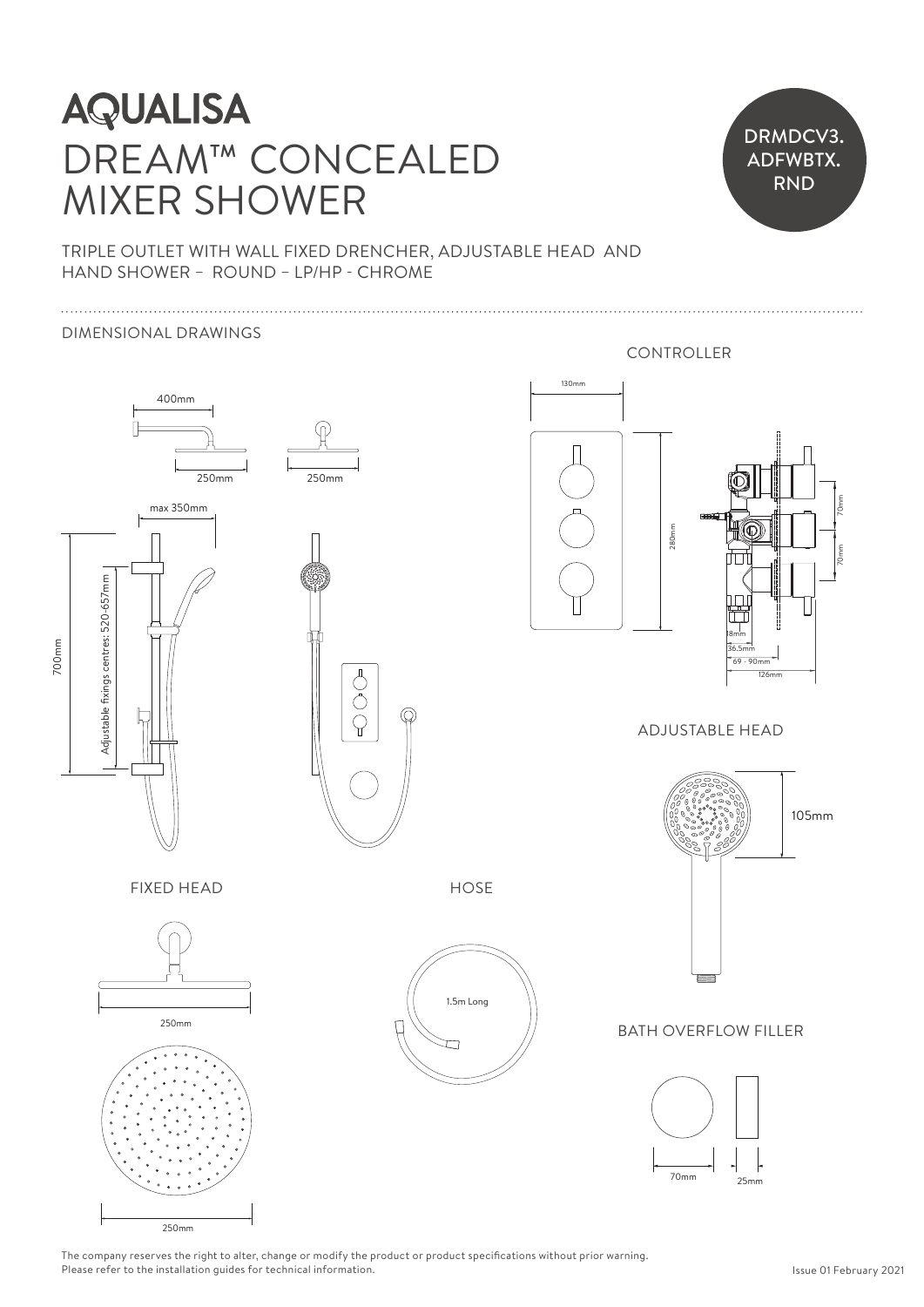# DREAM™ CONCEALED MIXER SHOWER **AQUALISA**  $\begin{array}{c} \n \cdot \downarrow \n \cdot \downarrow \n \cdot \downarrow \n \cdot \downarrow \n \cdot \downarrow \n \cdot \downarrow \n \cdot \downarrow \n \cdot \downarrow \n \cdot \downarrow \n \cdot \downarrow \n \cdot \downarrow \n \cdot \downarrow \n \cdot \downarrow \n \cdot \downarrow \n \cdot \downarrow \n \cdot \downarrow \n \cdot \downarrow \n \cdot \downarrow \n \cdot \downarrow \n \cdot \downarrow \n \cdot \downarrow \n \cdot \downarrow \n \cdot \downarrow \n \cdot \downarrow \n \cdot \downarrow \n \cdot \downarrow \n \cdot \downarrow \n \cdot \downarrow \n \cdot \downarrow \n \cdot \downarrow \n \$  $\begin{bmatrix} 1 \\ 1 \\ 2 \\ 3 \\ 4 \end{bmatrix}$



TRIPLE OUTLET WITH WALL FIXED DRENCHER, ADJUSTABLE HEAD AND TRIPLE OUTLET WITH WALL FIXED DRENCHER.<br>HAND SHOWER – ROUND – LP/HP - CHROME

### DIMENSIONAL DRAWINGS



The company reserves the right to alter, change or modify the product or product specifications without prior warning. Please refer to the installation guides for technical information.